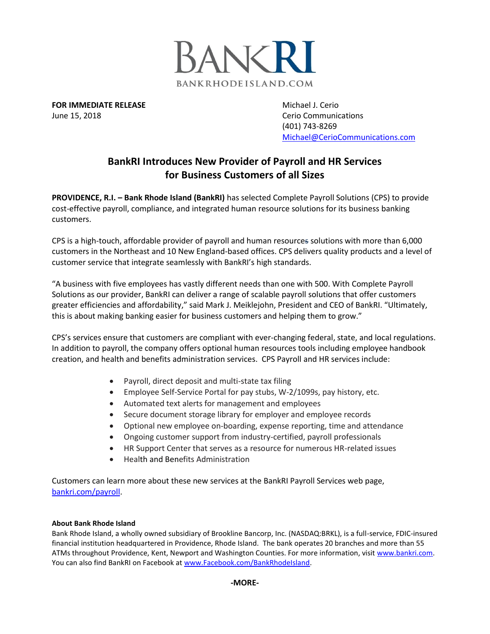

**FOR IMMEDIATE RELEASE Michael J. Cerio Michael J. Cerio** June 15, 2018 **Cerio Communications** Cerio Communications

(401) 743-8269 [Michael@CerioCommunications.com](mailto:Michael@CerioCommunications.com)

## **BankRI Introduces New Provider of Payroll and HR Services for Business Customers of all Sizes**

**PROVIDENCE, R.I. – Bank Rhode Island (BankRI)** has selected Complete Payroll Solutions (CPS) to provide cost-effective payroll, compliance, and integrated human resource solutions for its business banking customers.

CPS is a high-touch, affordable provider of payroll and human resources solutions with more than 6,000 customers in the Northeast and 10 New England-based offices. CPS delivers quality products and a level of customer service that integrate seamlessly with BankRI's high standards.

"A business with five employees has vastly different needs than one with 500. With Complete Payroll Solutions as our provider, BankRI can deliver a range of scalable payroll solutions that offer customers greater efficiencies and affordability," said Mark J. Meiklejohn, President and CEO of BankRI. "Ultimately, this is about making banking easier for business customers and helping them to grow."

CPS's services ensure that customers are compliant with ever-changing federal, state, and local regulations. In addition to payroll, the company offers optional human resources tools including employee handbook creation, and health and benefits administration services. CPS Payroll and HR services include:

- Payroll, direct deposit and multi-state tax filing
- Employee Self-Service Portal for pay stubs, W-2/1099s, pay history, etc.
- Automated text alerts for management and employees
- Secure document storage library for employer and employee records
- Optional new employee on-boarding, expense reporting, time and attendance
- Ongoing customer support from industry-certified, payroll professionals
- HR Support Center that serves as a resource for numerous HR-related issues
- Health and Benefits Administration

Customers can learn more about these new services at the BankRI Payroll Services web page, [bankri.com/payroll.](https://www.bankri.com/payroll)

## **About Bank Rhode Island**

Bank Rhode Island, a wholly owned subsidiary of Brookline Bancorp, Inc. (NASDAQ:BRKL), is a full-service, FDIC-insured financial institution headquartered in Providence, Rhode Island. The bank operates 20 branches and more than 55 ATMs throughout Providence, Kent, Newport and Washington Counties. For more information, visit [www.bankri.com.](http://www.bankri.com/) You can also find BankRI on Facebook at www.Facebook.com/BankRhodeIsland.